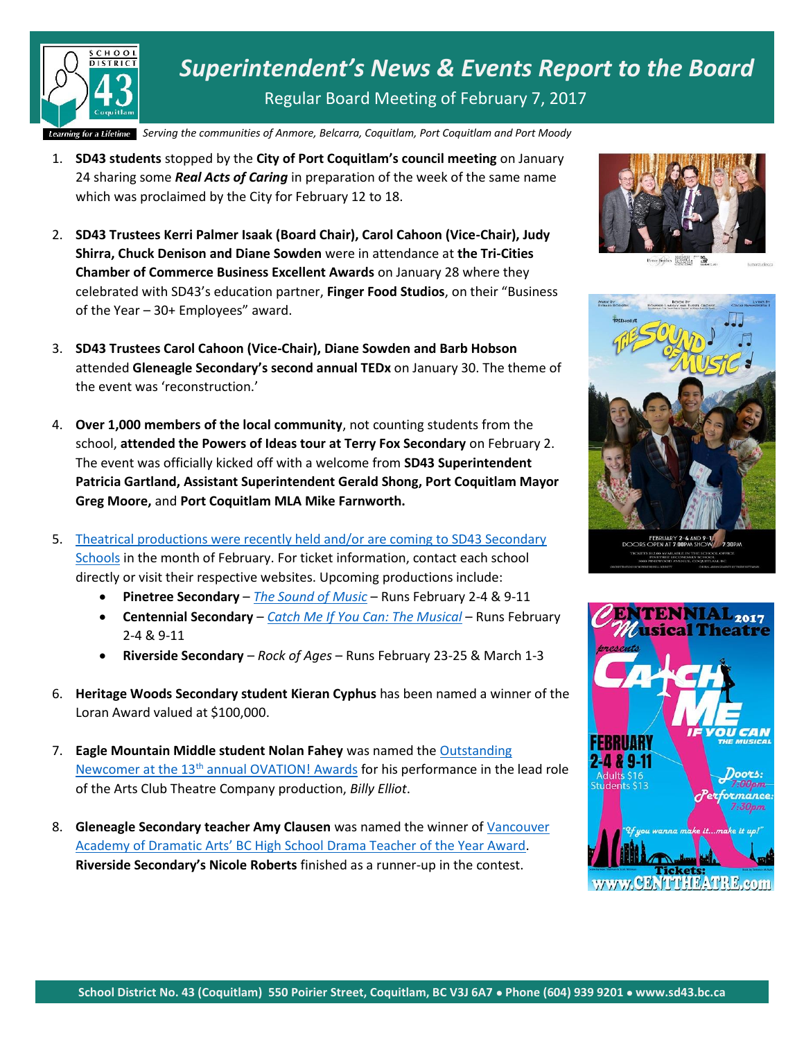

*Superintendent's News & Events Report to the Board* Regular Board Meeting of February 7, 2017

*Serving the communities of Anmore, Belcarra Belcarra, Coquitl Coquitlam, Port Coquitlam and Port Moody am,* 

- 1. **SD43 students** stopped by the **City of Port Coquitlam's council meeting** on January 24 sharing some *Real Acts of Caring* in preparation of the week of the same name which was proclaimed by the City for February 12 to 18.
- 2. **SD43 Trustees Kerri Palmer Isaak (Board Chair), Carol Cahoon (Vice-Chair), Judy Shirra, Chuck Denison and Diane Sowden** were in attendance at **the Tri-Cities Chamber of Commerce Business Excellent Awards** on January 28 where they celebrated with SD43's education partner, **Finger Food Studios**, on their "Business of the Year – 30+ Employees" award.
- 3. **SD43 Trustees Carol Cahoon (Vice-Chair), Diane Sowden and Barb Hobson** attended **Gleneagle Secondary's second annual TEDx** on January 30. The theme of the event was 'reconstruction.'
- 4. **Over 1,000 members of the local community**, not counting students from the school, **attended the Powers of Ideas tour at Terry Fox Secondary** on February 2. The event was officially kicked off with a welcome from **SD43 Superintendent Patricia Gartland, Assistant Superintendent Gerald Shong, Port Coquitlam Mayor Greg Moore,** and **Port Coquitlam MLA Mike Farnworth.**
- 5. [Theatrical productions were recently held and/or are coming to SD43 Secondary](https://www.sd43.bc.ca/Pages/newsitem.aspx?ItemID=106&ListID=c4134e88-bc0d-484f-9d4d-93c69db7f94f&TemplateID=Announcement_Item)  [Schools](https://www.sd43.bc.ca/Pages/newsitem.aspx?ItemID=106&ListID=c4134e88-bc0d-484f-9d4d-93c69db7f94f&TemplateID=Announcement_Item) in the month of February. For ticket information, contact each school directly or visit their respective websites. Upcoming productions include:
	- **Pinetree Secondary** *[The Sound of Music](http://www.tricitynews.com/entertainment/the-hills-are-alive-at-a-coquitlam-high-school-1.8704218)* Runs February 2-4 & 9-11
	- **Centennial Secondary** *[Catch Me If You Can: The Musical](http://www.tricitynews.com/entertainment/centennial-takes-flight-with-last-theatre-show-at-old-coquitlam-school-1.9636408)* Runs February 2-4 & 9-11
	- **Riverside Secondary** *Rock of Ages* Runs February 23-25 & March 1-3
- 6. **Heritage Woods Secondary student Kieran Cyphus** has been named a winner of the Loran Award valued at \$100,000.
- 7. **Eagle Mountain Middle student Nolan Fahey** was named the [Outstanding](http://www.tricitynews.com/entertainment/port-moody-student-takes-top-theatre-award-1.9591105)  [Newcomer at the 13](http://www.tricitynews.com/entertainment/port-moody-student-takes-top-theatre-award-1.9591105)<sup>th</sup> annual OVATION! Awards for his performance in the lead role of the Arts Club Theatre Company production, *Billy Elliot*.
- 8. **Gleneagle Secondary teacher Amy Clausen** was named the winner of [Vancouver](http://www.tricitynews.com/community/spotlight-coquitlam-skin-care-gifts-at-the-grammys-1.9711714)  [Academy of Dramatic Arts' BC High School Drama Teacher of the Year Award](http://www.tricitynews.com/community/spotlight-coquitlam-skin-care-gifts-at-the-grammys-1.9711714). **Riverside Secondary's Nicole Roberts** finished as a runner-up in the contest.